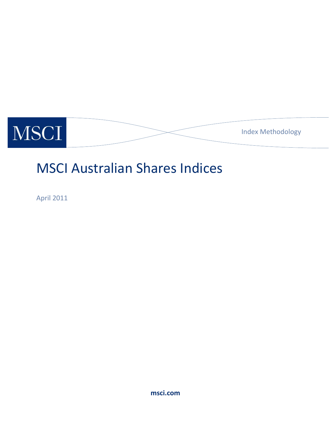

# MSCI Australian Shares Indices

April 2011

**msci.com**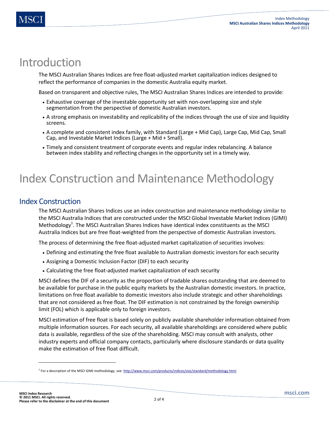### Introduction

The MSCI Australian Shares Indices are free float-adjusted market capitalization indices designed to reflect the performance of companies in the domestic Australia equity market.

Based on transparent and objective rules, The MSCI Australian Shares Indices are intended to provide:

- Exhaustive coverage of the investable opportunity set with non-overlapping size and style segmentation from the perspective of domestic Australian investors.
- A strong emphasis on investability and replicability of the indices through the use of size and liquidity screens.
- A complete and consistent index family, with Standard (Large + Mid Cap), Large Cap, Mid Cap, Small Cap, and Investable Market Indices (Large + Mid + Small).
- Timely and consistent treatment of corporate events and regular index rebalancing. A balance between index stability and reflecting changes in the opportunity set in a timely way.

## Index Construction and Maintenance Methodology

### Index Construction

The MSCI Australian Shares Indices use an index construction and maintenance methodology similar to the MSCI Australia Indices that are constructed under the MSCI Global Investable Market Indices (GIMI) Methodology<sup>1</sup>. The MSCI Australian Shares Indices have identical index constituents as the MSCI Australia Indices but are free float-weighted from the perspective of domestic Australian investors.

The process of determining the free float-adjusted market capitalization of securities involves:

- Defining and estimating the free float available to Australian domestic investors for each security
- Assigning a Domestic Inclusion Factor (DIF) to each security
- Calculating the free float-adjusted market capitalization of each security

MSCI defines the DIF of a security as the proportion of tradable shares outstanding that are deemed to be available for purchase in the public equity markets by the Australian domestic investors. In practice, limitations on free float available to domestic investors also include strategic and other shareholdings that are not considered as free float. The DIF estimation is not constrained by the foreign ownership limit (FOL) which is applicable only to foreign investors.

MSCI estimation of free float is based solely on publicly available shareholder information obtained from multiple information sources. For each security, all available shareholdings are considered where public data is available, regardless of the size of the shareholding. MSCI may consult with analysts, other industry experts and official company contacts, particularly where disclosure standards or data quality make the estimation of free float difficult.

 $\overline{a}$ 

<sup>&</sup>lt;sup>1</sup> For a description of the MSCI GIMI methodology, see: <http://www.msci.com/products/indices/size/standard/methodology.html>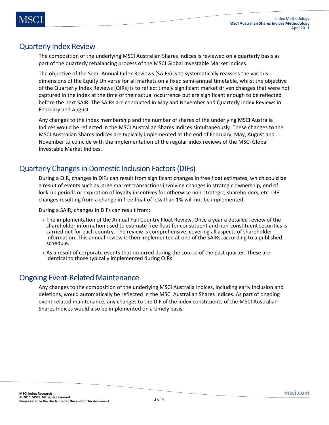#### Quarterly Index Review

The composition of the underlying MSCI Australian Shares Indices is reviewed on a quarterly basis as part of the quarterly rebalancing process of the MSCI Global Investable Market Indices.

The objective of the Semi-Annual Index Reviews (SAIRs) is to systematically reassess the various dimensions of the Equity Universe for all markets on a fixed semi-annual timetable, whilst the objective of the Quarterly Index Reviews (QIRs) is to reflect timely significant market driven changes that were not captured in the index at the time of their actual occurrence but are significant enough to be reflected before the next SAIR. The SAIRs are conducted in May and November and Quarterly Index Reviews in February and August.

Any changes to the index membership and the number of shares of the underlying MSCI Australia Indices would be reflected in the MSCI Australian Shares Indices simultaneously. These changes to the MSCI Australian Shares Indices are typically implemented at the end of February, May, August and November to coincide with the implementation of the regular index reviews of the MSCI Global Investable Market Indices.

#### Quarterly Changes in Domestic Inclusion Factors (DIFs)

During a QIR, changes in DIFs can result from significant changes in free float estimates, which could be a result of events such as large market transactions involving changes in strategic ownership, end of lock-up periods or expiration of loyalty incentives for otherwise non-strategic, shareholders, etc. DIF changes resulting from a change in free float of less than 1% will not be implemented.

During a SAIR, changes in DIFs can result from:

- The implementation of the Annual Full Country Float Review. Once a year a detailed review of the shareholder information used to estimate free float for constituent and non-constituent securities is carried out for each country. The review is comprehensive, covering all aspects of shareholder information. This annual review is then implemented at one of the SAIRs, according to a published schedule.
- As a result of corporate events that occurred during the course of the past quarter. These are identical to those typically implemented during QIRs.

#### Ongoing Event-Related Maintenance

Any changes to the composition of the underlying MSCI Australia Indices, including early inclusion and deletions, would automatically be reflected in the MSCI Australian Shares Indices. As part of ongoing event-related maintenance, any changes to the DIF of the index constituents of the MSCI Australian Shares Indices would also be implemented on a timely basis.